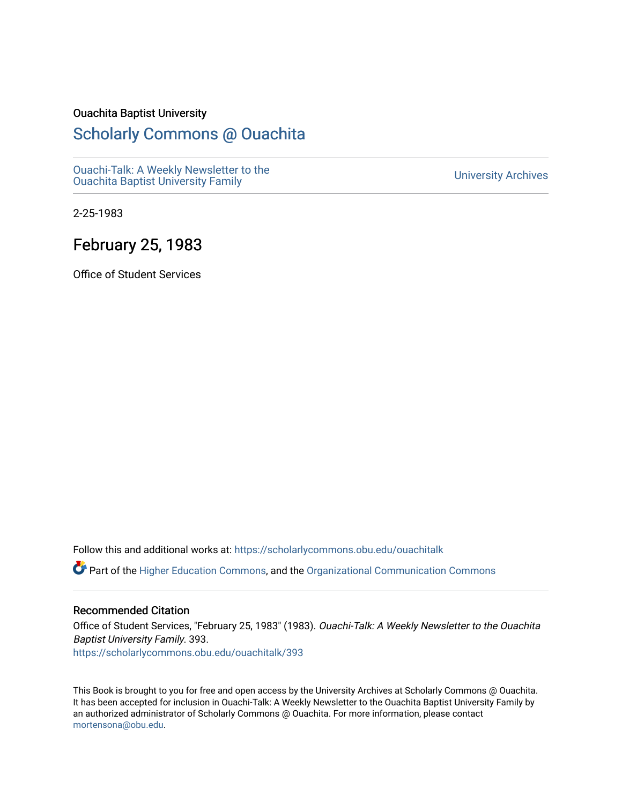#### Ouachita Baptist University

#### [Scholarly Commons @ Ouachita](https://scholarlycommons.obu.edu/)

[Ouachi-Talk: A Weekly Newsletter to the](https://scholarlycommons.obu.edu/ouachitalk)  Ouachi-Taik. A weekly Newsletter to the community of the University Archives<br>[Ouachita Baptist University Family](https://scholarlycommons.obu.edu/ouachitalk)

2-25-1983

#### February 25, 1983

Office of Student Services

Follow this and additional works at: [https://scholarlycommons.obu.edu/ouachitalk](https://scholarlycommons.obu.edu/ouachitalk?utm_source=scholarlycommons.obu.edu%2Fouachitalk%2F393&utm_medium=PDF&utm_campaign=PDFCoverPages) 

Part of the [Higher Education Commons,](http://network.bepress.com/hgg/discipline/1245?utm_source=scholarlycommons.obu.edu%2Fouachitalk%2F393&utm_medium=PDF&utm_campaign=PDFCoverPages) and the [Organizational Communication Commons](http://network.bepress.com/hgg/discipline/335?utm_source=scholarlycommons.obu.edu%2Fouachitalk%2F393&utm_medium=PDF&utm_campaign=PDFCoverPages)

#### Recommended Citation

Office of Student Services, "February 25, 1983" (1983). Ouachi-Talk: A Weekly Newsletter to the Ouachita Baptist University Family. 393. [https://scholarlycommons.obu.edu/ouachitalk/393](https://scholarlycommons.obu.edu/ouachitalk/393?utm_source=scholarlycommons.obu.edu%2Fouachitalk%2F393&utm_medium=PDF&utm_campaign=PDFCoverPages) 

This Book is brought to you for free and open access by the University Archives at Scholarly Commons @ Ouachita. It has been accepted for inclusion in Ouachi-Talk: A Weekly Newsletter to the Ouachita Baptist University Family by an authorized administrator of Scholarly Commons @ Ouachita. For more information, please contact [mortensona@obu.edu.](mailto:mortensona@obu.edu)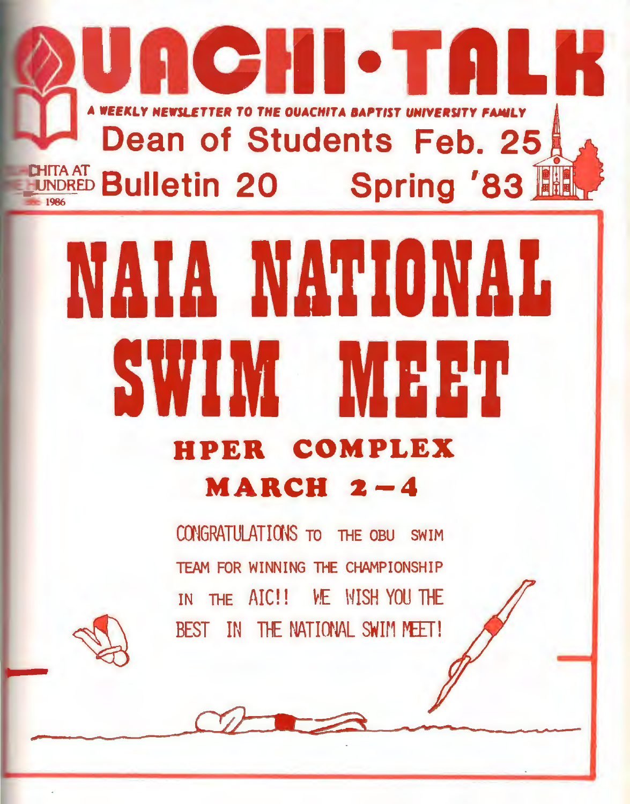# лен-танк EWSLETTER TO THE OUACHITA BAPTIST UNIVERSIT Dean of Students Feb. 25 **TTA AT Bulletin 20 Spring '83 ITA AT**

# NAIA NATIONAL WIM MEET **HPER COMPLEX MARCH**  $2-4$

CONGRATULATIONS TO THE OBU SWIM TEAM FOR WINNING THE CHAMPIONSHIP IN THE AIC!! WE WISH YOU THE BEST IN THE NATIONAL SWIM MEET!

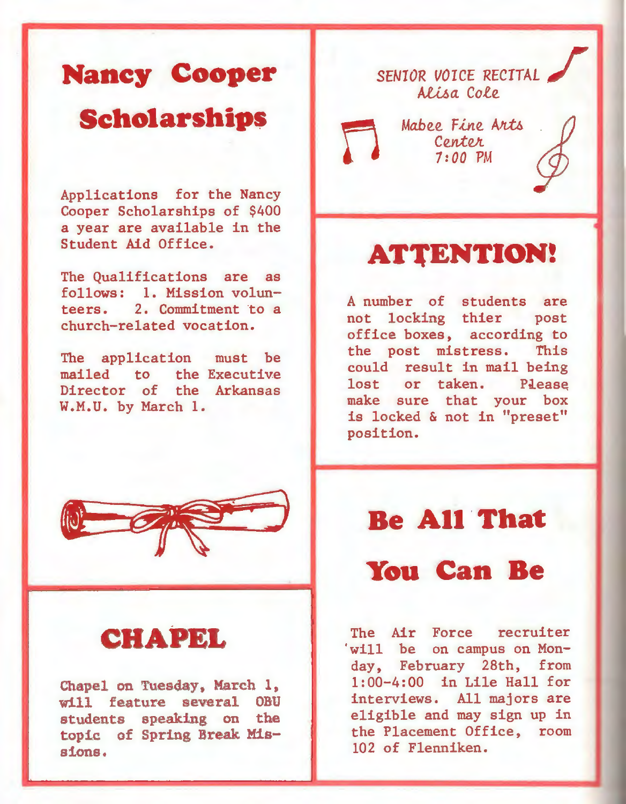# **Nancy Cooper Scholarship\$**

Applications for the Nancy Cooper Scholarships of \$400 a year are available in the Student Aid Office.

The Qualifications are as follows: 1. Mission volunteers. 2. Commitment to a church-related vocation.

The application must be mailed to the Executive Director of the Arkansas W.M.U. by March 1.



#### **CHAPEL**

Chapel on Tuesday, March 1,<br>will feature several OBU will feature several students speaking on the topic of Spring Break. Missions.

## SENIOR VOICE RECITAL *A1.1...6a.*  Cole

Mabee Fine Arts<br>Center *1:00* PM

### **ATTENTION!**

A number of students are not locking thier post office boxes, according to the post mistress. This could result in mail being lost or taken. Please make sure that your box is locked & not in "preset" position.

#### **Be Ali 'That**

#### **You Can Be**

The Air Force recruiter 'will be on campus on Monday, February 28th, from 1:00-4:00 in Lile Hall for interviews. All majors are eligible and may sign up in the Placement Office, room 102 of Flenniken.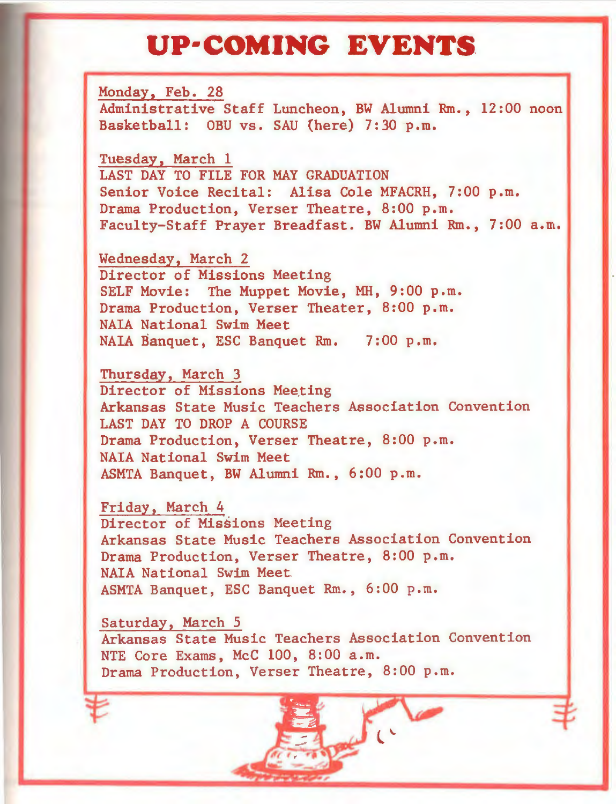## **UP·COMING EVENTS**

Monday, Feb. 28 Administrative Staff Luncheon, BW Alumni Rm., 12:00 noon Basketball: OBU vs. SAU (here) 7:30 p.m.

Tuesday, March 1 LAST DAY TO FILE FOR MAY GRADUATION Senior Voice Recital: Alisa Cole MFACRH, 7:00 p.m. Drama Production, Verser Theatre, 8:00 p.m. Faculty-Staff Prayer Breadfast. BW Alumni Rm., 7:00 a.m.

Wednesday, March 2 Director of Missions Meeting SELF Movie: The Muppet Movie, MH, 9:00 p.m. Drama Production, Verser Theater, 8:00 p.m. NAIA National Swim Meet NALA Banquet, ESC Banquet Rm. 7:00 p.m.

Thursday, March 3 Director of Missions Meeting Arkansas State Music Teachers Association Convention LAST DAY TO DROP A COURSE Drama Production, Verser Theatre, 8:00 p.m. NAIA National Swim Meet ASMTA Banquet, BW Alumni Rm., 6:00 p.m.

Friday, March 4 Director of Missions Meeting Arkansas State Music Teachers Association Convention Drama Production, Verser Theatre, 8:00 p.m. NAIA National Swim Meet. ASMTA Banquet, ESC Banquet Rm., 6:00 p.m.

Saturday, March 5 Arkansas State Music Teachers Association Convention NTE Core Exams, McC 100, 8:00 a.m. Drama Production, Verser Theatre, 8:00 p.m.